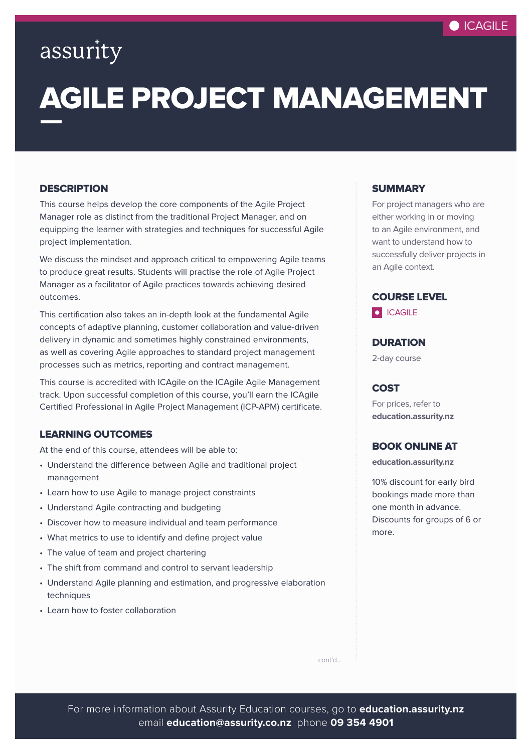

### assurity

# AGILE PROJECT MANAGEMENT

#### **DESCRIPTION**

This course helps develop the core components of the Agile Project Manager role as distinct from the traditional Project Manager, and on equipping the learner with strategies and techniques for successful Agile project implementation.

We discuss the mindset and approach critical to empowering Agile teams to produce great results. Students will practise the role of Agile Project Manager as a facilitator of Agile practices towards achieving desired outcomes.

This certification also takes an in-depth look at the fundamental Agile concepts of adaptive planning, customer collaboration and value-driven delivery in dynamic and sometimes highly constrained environments, as well as covering Agile approaches to standard project management processes such as metrics, reporting and contract management.

This course is accredited with ICAgile on the ICAgile Agile Management track. Upon successful completion of this course, you'll earn the ICAgile Certified Professional in Agile Project Management (ICP-APM) certificate.

#### LEARNING OUTCOMES

At the end of this course, attendees will be able to:

- Understand the difference between Agile and traditional project management
- Learn how to use Agile to manage project constraints
- Understand Agile contracting and budgeting
- Discover how to measure individual and team performance
- What metrics to use to identify and define project value
- The value of team and project chartering
- The shift from command and control to servant leadership
- Understand Agile planning and estimation, and progressive elaboration techniques
- Learn how to foster collaboration

#### **SUMMARY**

For project managers who are either working in or moving to an Agile environment, and want to understand how to successfully deliver projects in an Agile context.



**DURATION** 

2-day course

#### **COST**

For prices, refer to **[education.assurity.nz](https://education.assurity.nz/)**

#### BOOK ONLINE AT

**[education.assurity.nz](https://education.assurity.nz/)**

10% discount for early bird bookings made more than one month in advance. Discounts for groups of 6 or more.

cont'd...